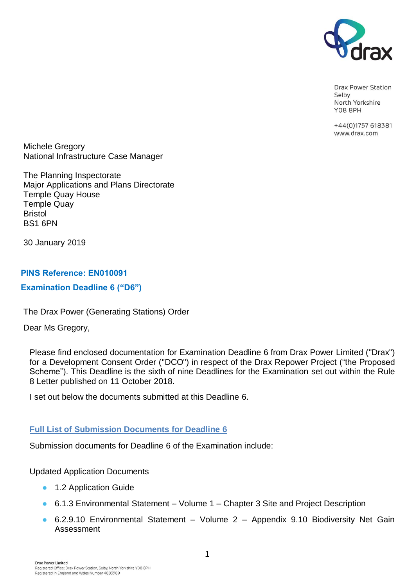

Drax Power Station Selby North Yorkshire **Y08 8PH** 

+44(0)1757 618381 www.drax.com

Michele Gregory National Infrastructure Case Manager

The Planning Inspectorate Major Applications and Plans Directorate Temple Quay House Temple Quay Bristol BS1 6PN

30 January 2019

## **PINS Reference: EN010091**

### **Examination Deadline 6 ("D6")**

The Drax Power (Generating Stations) Order

Dear Ms Gregory,

Please find enclosed documentation for Examination Deadline 6 from Drax Power Limited ("Drax") for a Development Consent Order ("DCO") in respect of the Drax Repower Project ("the Proposed Scheme"). This Deadline is the sixth of nine Deadlines for the Examination set out within the Rule 8 Letter published on 11 October 2018.

I set out below the documents submitted at this Deadline 6.

# **Full List of Submission Documents for Deadline 6**

Submission documents for Deadline 6 of the Examination include:

### Updated Application Documents

- 1.2 Application Guide
- 6.1.3 Environmental Statement Volume 1 Chapter 3 Site and Project Description
- 6.2.9.10 Environmental Statement Volume 2 Appendix 9.10 Biodiversity Net Gain Assessment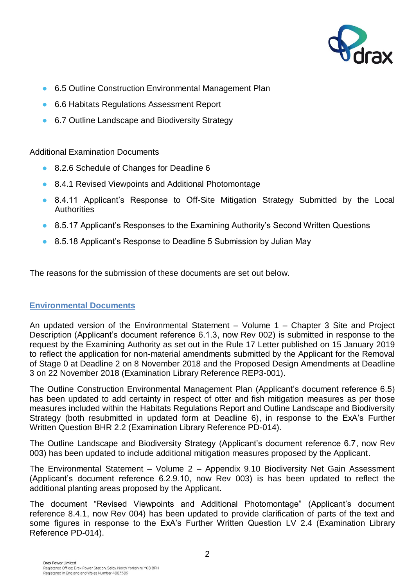

- 6.5 Outline Construction Environmental Management Plan
- 6.6 Habitats Regulations Assessment Report
- 6.7 Outline Landscape and Biodiversity Strategy

Additional Examination Documents

- 8.2.6 Schedule of Changes for Deadline 6
- 8.4.1 Revised Viewpoints and Additional Photomontage
- 8.4.11 Applicant's Response to Off-Site Mitigation Strategy Submitted by the Local **Authorities**
- 8.5.17 Applicant's Responses to the Examining Authority's Second Written Questions
- 8.5.18 Applicant's Response to Deadline 5 Submission by Julian May

The reasons for the submission of these documents are set out below.

### **Environmental Documents**

An updated version of the Environmental Statement – Volume 1 – Chapter 3 Site and Project Description (Applicant's document reference 6.1.3, now Rev 002) is submitted in response to the request by the Examining Authority as set out in the Rule 17 Letter published on 15 January 2019 to reflect the application for non-material amendments submitted by the Applicant for the Removal of Stage 0 at Deadline 2 on 8 November 2018 and the Proposed Design Amendments at Deadline 3 on 22 November 2018 (Examination Library Reference REP3-001).

The Outline Construction Environmental Management Plan (Applicant's document reference 6.5) has been updated to add certainty in respect of otter and fish mitigation measures as per those measures included within the Habitats Regulations Report and Outline Landscape and Biodiversity Strategy (both resubmitted in updated form at Deadline 6), in response to the ExA's Further Written Question BHR 2.2 (Examination Library Reference PD-014).

The Outline Landscape and Biodiversity Strategy (Applicant's document reference 6.7, now Rev 003) has been updated to include additional mitigation measures proposed by the Applicant.

The Environmental Statement – Volume 2 – Appendix 9.10 Biodiversity Net Gain Assessment (Applicant's document reference 6.2.9.10, now Rev 003) is has been updated to reflect the additional planting areas proposed by the Applicant.

The document "Revised Viewpoints and Additional Photomontage" (Applicant's document reference 8.4.1, now Rev 004) has been updated to provide clarification of parts of the text and some figures in response to the ExA's Further Written Question LV 2.4 (Examination Library Reference PD-014).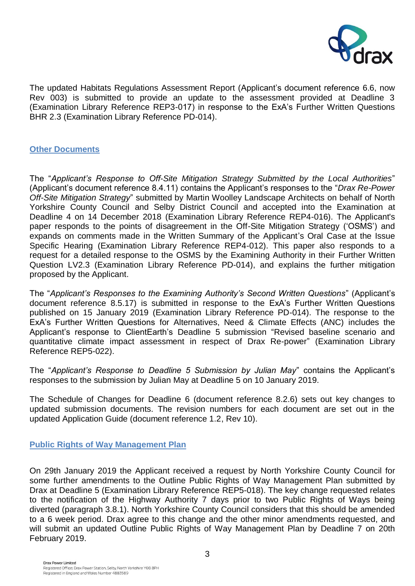

The updated Habitats Regulations Assessment Report (Applicant's document reference 6.6, now Rev 003) is submitted to provide an update to the assessment provided at Deadline 3 (Examination Library Reference REP3-017) in response to the ExA's Further Written Questions BHR 2.3 (Examination Library Reference PD-014).

### **Other Documents**

The "*Applicant's Response to Off-Site Mitigation Strategy Submitted by the Local Authorities*" (Applicant's document reference 8.4.11) contains the Applicant's responses to the "*Drax Re-Power Off-Site Mitigation Strategy*" submitted by Martin Woolley Landscape Architects on behalf of North Yorkshire County Council and Selby District Council and accepted into the Examination at Deadline 4 on 14 December 2018 (Examination Library Reference REP4-016). The Applicant's paper responds to the points of disagreement in the Off-Site Mitigation Strategy ('OSMS') and expands on comments made in the Written Summary of the Applicant's Oral Case at the Issue Specific Hearing (Examination Library Reference REP4-012). This paper also responds to a request for a detailed response to the OSMS by the Examining Authority in their Further Written Question LV2.3 (Examination Library Reference PD-014), and explains the further mitigation proposed by the Applicant.

The "*Applicant's Responses to the Examining Authority's Second Written Questions*" (Applicant's document reference 8.5.17) is submitted in response to the ExA's Further Written Questions published on 15 January 2019 (Examination Library Reference PD-014). The response to the ExA's Further Written Questions for Alternatives, Need & Climate Effects (ANC) includes the Applicant's response to ClientEarth's Deadline 5 submission "Revised baseline scenario and quantitative climate impact assessment in respect of Drax Re-power" (Examination Library Reference REP5-022).

The "*Applicant's Response to Deadline 5 Submission by Julian May*" contains the Applicant's responses to the submission by Julian May at Deadline 5 on 10 January 2019.

The Schedule of Changes for Deadline 6 (document reference 8.2.6) sets out key changes to updated submission documents. The revision numbers for each document are set out in the updated Application Guide (document reference 1.2, Rev 10).

### **Public Rights of Way Management Plan**

On 29th January 2019 the Applicant received a request by North Yorkshire County Council for some further amendments to the Outline Public Rights of Way Management Plan submitted by Drax at Deadline 5 (Examination Library Reference REP5-018). The key change requested relates to the notification of the Highway Authority 7 days prior to two Public Rights of Ways being diverted (paragraph 3.8.1). North Yorkshire County Council considers that this should be amended to a 6 week period. Drax agree to this change and the other minor amendments requested, and will submit an updated Outline Public Rights of Way Management Plan by Deadline 7 on 20th February 2019.